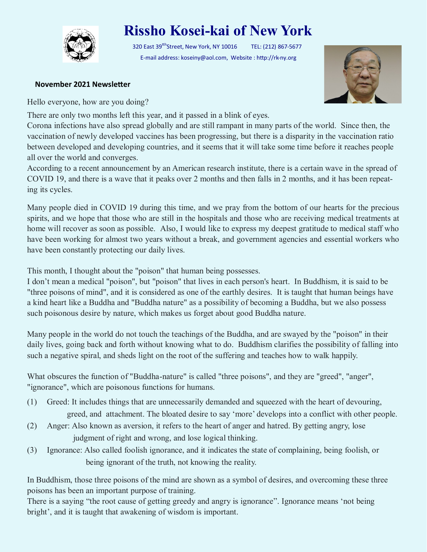

## **Rissho Kosei-kai of New York**

320 East 39<sup>tth</sup>Street, New York, NY 10016 TEL: (212) 867-5677 E-mail address: koseiny@aol.com, Website : http://rk-ny.org



## **November 2021 Newsletter**

Hello everyone, how are you doing?

There are only two months left this year, and it passed in a blink of eyes.

Corona infections have also spread globally and are still rampant in many parts of the world. Since then, the vaccination of newly developed vaccines has been progressing, but there is a disparity in the vaccination ratio between developed and developing countries, and it seems that it will take some time before it reaches people all over the world and converges.

According to a recent announcement by an American research institute, there is a certain wave in the spread of COVID 19, and there is a wave that it peaks over 2 months and then falls in 2 months, and it has been repeating its cycles.

Many people died in COVID 19 during this time, and we pray from the bottom of our hearts for the precious spirits, and we hope that those who are still in the hospitals and those who are receiving medical treatments at home will recover as soon as possible. Also, I would like to express my deepest gratitude to medical staff who have been working for almost two years without a break, and government agencies and essential workers who have been constantly protecting our daily lives.

This month, I thought about the "poison" that human being possesses.

I don't mean a medical "poison", but "poison" that lives in each person's heart. In Buddhism, it is said to be "three poisons of mind", and it is considered as one of the earthly desires. It is taught that human beings have a kind heart like a Buddha and "Buddha nature" as a possibility of becoming a Buddha, but we also possess such poisonous desire by nature, which makes us forget about good Buddha nature.

Many people in the world do not touch the teachings of the Buddha, and are swayed by the "poison" in their daily lives, going back and forth without knowing what to do. Buddhism clarifies the possibility of falling into such a negative spiral, and sheds light on the root of the suffering and teaches how to walk happily.

What obscures the function of "Buddha-nature" is called "three poisons", and they are "greed", "anger", "ignorance", which are poisonous functions for humans.

- (1) Greed: It includes things that are unnecessarily demanded and squeezed with the heart of devouring, greed, and attachment. The bloated desire to say 'more' develops into a conflict with other people.
- (2) Anger: Also known as aversion, it refers to the heart of anger and hatred. By getting angry, lose judgment of right and wrong, and lose logical thinking.
- (3) Ignorance: Also called foolish ignorance, and it indicates the state of complaining, being foolish, or being ignorant of the truth, not knowing the reality.

In Buddhism, those three poisons of the mind are shown as a symbol of desires, and overcoming these three poisons has been an important purpose of training.

There is a saying "the root cause of getting greedy and angry is ignorance". Ignorance means 'not being bright', and it is taught that awakening of wisdom is important.